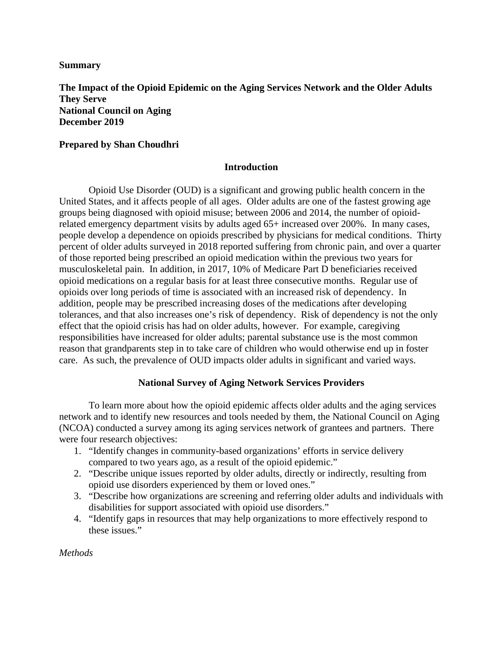## **Summary**

**The Impact of the Opioid Epidemic on the Aging Services Network and the Older Adults They Serve National Council on Aging December 2019**

# **Prepared by Shan Choudhri**

## **Introduction**

Opioid Use Disorder (OUD) is a significant and growing public health concern in the United States, and it affects people of all ages. Older adults are one of the fastest growing age groups being diagnosed with opioid misuse; between 2006 and 2014, the number of opioidrelated emergency department visits by adults aged 65+ increased over 200%. In many cases, people develop a dependence on opioids prescribed by physicians for medical conditions. Thirty percent of older adults surveyed in 2018 reported suffering from chronic pain, and over a quarter of those reported being prescribed an opioid medication within the previous two years for musculoskeletal pain. In addition, in 2017, 10% of Medicare Part D beneficiaries received opioid medications on a regular basis for at least three consecutive months. Regular use of opioids over long periods of time is associated with an increased risk of dependency. In addition, people may be prescribed increasing doses of the medications after developing tolerances, and that also increases one's risk of dependency. Risk of dependency is not the only effect that the opioid crisis has had on older adults, however. For example, caregiving responsibilities have increased for older adults; parental substance use is the most common reason that grandparents step in to take care of children who would otherwise end up in foster care. As such, the prevalence of OUD impacts older adults in significant and varied ways.

# **National Survey of Aging Network Services Providers**

To learn more about how the opioid epidemic affects older adults and the aging services network and to identify new resources and tools needed by them, the National Council on Aging (NCOA) conducted a survey among its aging services network of grantees and partners. There were four research objectives:

- 1. "Identify changes in community-based organizations' efforts in service delivery compared to two years ago, as a result of the opioid epidemic."
- 2. "Describe unique issues reported by older adults, directly or indirectly, resulting from opioid use disorders experienced by them or loved ones."
- 3. "Describe how organizations are screening and referring older adults and individuals with disabilities for support associated with opioid use disorders."
- 4. "Identify gaps in resources that may help organizations to more effectively respond to these issues."

*Methods*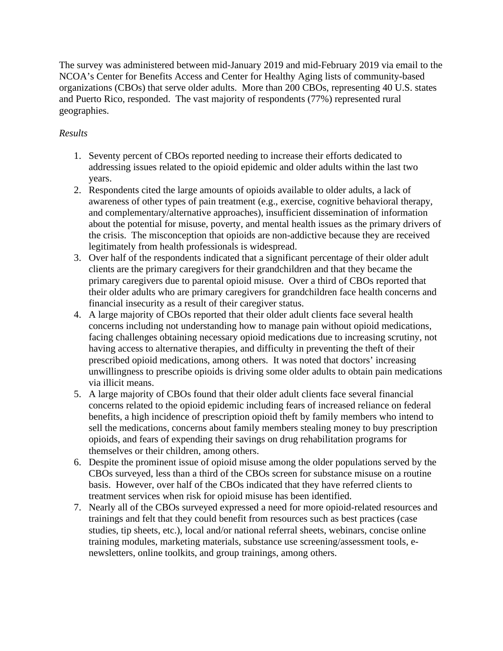The survey was administered between mid-January 2019 and mid-February 2019 via email to the NCOA's Center for Benefits Access and Center for Healthy Aging lists of community-based organizations (CBOs) that serve older adults. More than 200 CBOs, representing 40 U.S. states and Puerto Rico, responded. The vast majority of respondents (77%) represented rural geographies.

# *Results*

- 1. Seventy percent of CBOs reported needing to increase their efforts dedicated to addressing issues related to the opioid epidemic and older adults within the last two years.
- 2. Respondents cited the large amounts of opioids available to older adults, a lack of awareness of other types of pain treatment (e.g., exercise, cognitive behavioral therapy, and complementary/alternative approaches), insufficient dissemination of information about the potential for misuse, poverty, and mental health issues as the primary drivers of the crisis. The misconception that opioids are non-addictive because they are received legitimately from health professionals is widespread.
- 3. Over half of the respondents indicated that a significant percentage of their older adult clients are the primary caregivers for their grandchildren and that they became the primary caregivers due to parental opioid misuse. Over a third of CBOs reported that their older adults who are primary caregivers for grandchildren face health concerns and financial insecurity as a result of their caregiver status.
- 4. A large majority of CBOs reported that their older adult clients face several health concerns including not understanding how to manage pain without opioid medications, facing challenges obtaining necessary opioid medications due to increasing scrutiny, not having access to alternative therapies, and difficulty in preventing the theft of their prescribed opioid medications, among others. It was noted that doctors' increasing unwillingness to prescribe opioids is driving some older adults to obtain pain medications via illicit means.
- 5. A large majority of CBOs found that their older adult clients face several financial concerns related to the opioid epidemic including fears of increased reliance on federal benefits, a high incidence of prescription opioid theft by family members who intend to sell the medications, concerns about family members stealing money to buy prescription opioids, and fears of expending their savings on drug rehabilitation programs for themselves or their children, among others.
- 6. Despite the prominent issue of opioid misuse among the older populations served by the CBOs surveyed, less than a third of the CBOs screen for substance misuse on a routine basis. However, over half of the CBOs indicated that they have referred clients to treatment services when risk for opioid misuse has been identified.
- 7. Nearly all of the CBOs surveyed expressed a need for more opioid-related resources and trainings and felt that they could benefit from resources such as best practices (case studies, tip sheets, etc.), local and/or national referral sheets, webinars, concise online training modules, marketing materials, substance use screening/assessment tools, enewsletters, online toolkits, and group trainings, among others.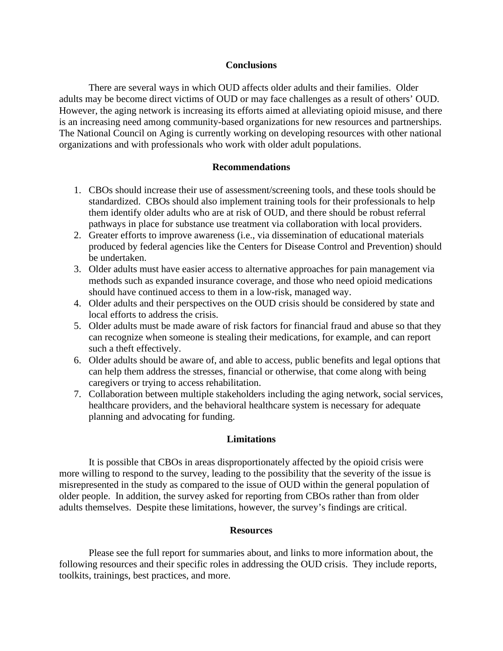#### **Conclusions**

There are several ways in which OUD affects older adults and their families. Older adults may be become direct victims of OUD or may face challenges as a result of others' OUD. However, the aging network is increasing its efforts aimed at alleviating opioid misuse, and there is an increasing need among community-based organizations for new resources and partnerships. The National Council on Aging is currently working on developing resources with other national organizations and with professionals who work with older adult populations.

## **Recommendations**

- 1. CBOs should increase their use of assessment/screening tools, and these tools should be standardized. CBOs should also implement training tools for their professionals to help them identify older adults who are at risk of OUD, and there should be robust referral pathways in place for substance use treatment via collaboration with local providers.
- 2. Greater efforts to improve awareness (i.e., via dissemination of educational materials produced by federal agencies like the Centers for Disease Control and Prevention) should be undertaken.
- 3. Older adults must have easier access to alternative approaches for pain management via methods such as expanded insurance coverage, and those who need opioid medications should have continued access to them in a low-risk, managed way.
- 4. Older adults and their perspectives on the OUD crisis should be considered by state and local efforts to address the crisis.
- 5. Older adults must be made aware of risk factors for financial fraud and abuse so that they can recognize when someone is stealing their medications, for example, and can report such a theft effectively.
- 6. Older adults should be aware of, and able to access, public benefits and legal options that can help them address the stresses, financial or otherwise, that come along with being caregivers or trying to access rehabilitation.
- 7. Collaboration between multiple stakeholders including the aging network, social services, healthcare providers, and the behavioral healthcare system is necessary for adequate planning and advocating for funding.

# **Limitations**

It is possible that CBOs in areas disproportionately affected by the opioid crisis were more willing to respond to the survey, leading to the possibility that the severity of the issue is misrepresented in the study as compared to the issue of OUD within the general population of older people. In addition, the survey asked for reporting from CBOs rather than from older adults themselves. Despite these limitations, however, the survey's findings are critical.

#### **Resources**

Please see the full report for summaries about, and links to more information about, the following resources and their specific roles in addressing the OUD crisis. They include reports, toolkits, trainings, best practices, and more.